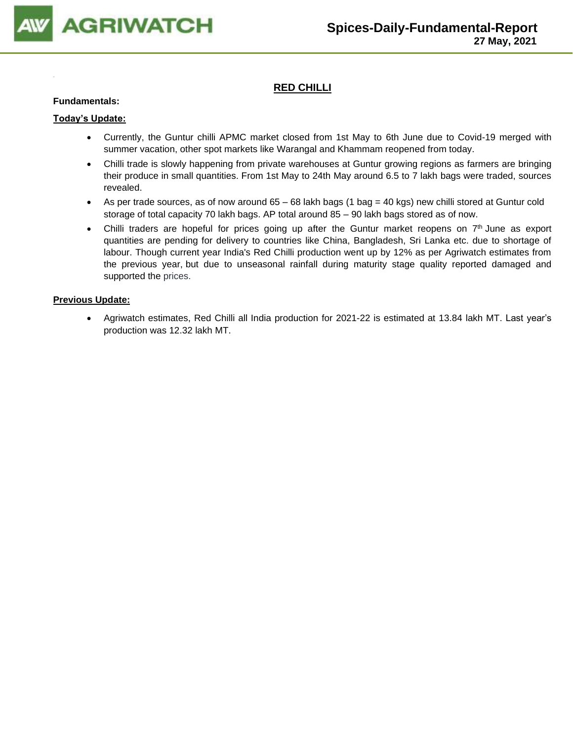

# **RED CHILLI**

#### **Fundamentals:**

#### **Today's Update:**

- Currently, the Guntur chilli APMC market closed from 1st May to 6th June due to Covid-19 merged with summer vacation, other spot markets like Warangal and Khammam reopened from today.
- Chilli trade is slowly happening from private warehouses at Guntur growing regions as farmers are bringing their produce in small quantities. From 1st May to 24th May around 6.5 to 7 lakh bags were traded, sources revealed.
- As per trade sources, as of now around  $65 68$  lakh bags (1 bag = 40 kgs) new chilli stored at Guntur cold storage of total capacity 70 lakh bags. AP total around 85 – 90 lakh bags stored as of now.
- Chilli traders are hopeful for prices going up after the Guntur market reopens on 7<sup>th</sup> June as export quantities are pending for delivery to countries like China, Bangladesh, Sri Lanka etc. due to shortage of labour. Though current year India's Red Chilli production went up by 12% as per Agriwatch estimates from the previous year, but due to unseasonal rainfall during maturity stage quality reported damaged and supported the prices.

#### **Previous Update:**

• Agriwatch estimates, Red Chilli all India production for 2021-22 is estimated at 13.84 lakh MT. Last year's production was 12.32 lakh MT.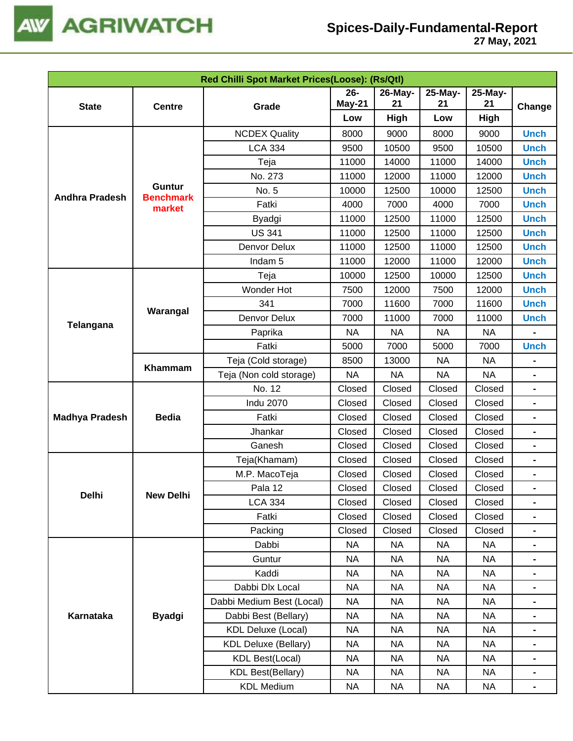

|                       |                                   | Red Chilli Spot Market Prices(Loose): (Rs/Qtl) |           |           |           |                                                                                                                                                                                                                                                     |                                                                                                                                                                                                                                                                                                                |
|-----------------------|-----------------------------------|------------------------------------------------|-----------|-----------|-----------|-----------------------------------------------------------------------------------------------------------------------------------------------------------------------------------------------------------------------------------------------------|----------------------------------------------------------------------------------------------------------------------------------------------------------------------------------------------------------------------------------------------------------------------------------------------------------------|
|                       |                                   |                                                | $26 -$    | 26-May-   | 25-May-   | 25-May-                                                                                                                                                                                                                                             |                                                                                                                                                                                                                                                                                                                |
| <b>State</b>          | <b>Centre</b>                     | Grade                                          | May-21    | 21        | 21        |                                                                                                                                                                                                                                                     | Change<br><b>Unch</b><br><b>Unch</b><br><b>Unch</b><br><b>Unch</b><br><b>Unch</b><br><b>Unch</b><br><b>Unch</b><br><b>Unch</b><br><b>Unch</b><br><b>Unch</b><br><b>Unch</b><br><b>Unch</b><br><b>Unch</b><br><b>Unch</b><br><b>Unch</b><br>-<br>$\blacksquare$<br>-<br>-<br>-<br>-<br>$\blacksquare$<br>-<br>- |
|                       |                                   |                                                | Low       | High      | Low       |                                                                                                                                                                                                                                                     |                                                                                                                                                                                                                                                                                                                |
|                       |                                   | <b>NCDEX Quality</b>                           | 8000      | 9000      | 8000      | 9000                                                                                                                                                                                                                                                |                                                                                                                                                                                                                                                                                                                |
|                       |                                   | <b>LCA 334</b>                                 | 9500      | 10500     | 9500      | 10500                                                                                                                                                                                                                                               | -<br>-<br>-                                                                                                                                                                                                                                                                                                    |
|                       |                                   | Teja                                           | 11000     | 14000     | 11000     | 14000                                                                                                                                                                                                                                               |                                                                                                                                                                                                                                                                                                                |
|                       |                                   | No. 273                                        | 11000     | 12000     | 11000     | 12000                                                                                                                                                                                                                                               |                                                                                                                                                                                                                                                                                                                |
| <b>Andhra Pradesh</b> | <b>Guntur</b><br><b>Benchmark</b> | No. 5                                          | 10000     | 12500     | 10000     | 12500                                                                                                                                                                                                                                               |                                                                                                                                                                                                                                                                                                                |
|                       | market                            | Fatki                                          | 4000      | 7000      | 4000      | 7000                                                                                                                                                                                                                                                |                                                                                                                                                                                                                                                                                                                |
|                       |                                   | Byadgi                                         | 11000     | 12500     | 11000     | 12500                                                                                                                                                                                                                                               |                                                                                                                                                                                                                                                                                                                |
|                       |                                   | <b>US 341</b>                                  | 11000     | 12500     | 11000     | 12500                                                                                                                                                                                                                                               |                                                                                                                                                                                                                                                                                                                |
|                       |                                   | Denvor Delux                                   | 11000     | 12500     | 11000     | 12500                                                                                                                                                                                                                                               |                                                                                                                                                                                                                                                                                                                |
|                       |                                   | Indam <sub>5</sub>                             | 11000     | 12000     | 11000     | 12000                                                                                                                                                                                                                                               |                                                                                                                                                                                                                                                                                                                |
|                       |                                   | Teja                                           | 10000     | 12500     | 10000     | 12500                                                                                                                                                                                                                                               |                                                                                                                                                                                                                                                                                                                |
|                       |                                   | Wonder Hot                                     | 7500      | 12000     | 7500      | 12000                                                                                                                                                                                                                                               |                                                                                                                                                                                                                                                                                                                |
| <b>Telangana</b>      | Warangal                          | 341                                            | 7000      | 11600     | 7000      | 11600                                                                                                                                                                                                                                               |                                                                                                                                                                                                                                                                                                                |
|                       |                                   | Denvor Delux                                   | 7000      | 11000     | 7000      | 11000                                                                                                                                                                                                                                               |                                                                                                                                                                                                                                                                                                                |
|                       |                                   | Paprika                                        | <b>NA</b> | <b>NA</b> | <b>NA</b> | <b>NA</b>                                                                                                                                                                                                                                           |                                                                                                                                                                                                                                                                                                                |
|                       |                                   | Fatki                                          | 5000      | 7000      | 5000      | 7000                                                                                                                                                                                                                                                |                                                                                                                                                                                                                                                                                                                |
|                       | Khammam                           | Teja (Cold storage)                            | 8500      | 13000     | <b>NA</b> | <b>NA</b>                                                                                                                                                                                                                                           |                                                                                                                                                                                                                                                                                                                |
|                       |                                   | Teja (Non cold storage)                        | <b>NA</b> | <b>NA</b> | <b>NA</b> | <b>NA</b>                                                                                                                                                                                                                                           |                                                                                                                                                                                                                                                                                                                |
|                       |                                   | No. 12                                         | Closed    | Closed    | Closed    | Closed                                                                                                                                                                                                                                              |                                                                                                                                                                                                                                                                                                                |
|                       |                                   | <b>Indu 2070</b>                               | Closed    | Closed    | Closed    | Closed                                                                                                                                                                                                                                              |                                                                                                                                                                                                                                                                                                                |
| <b>Madhya Pradesh</b> | <b>Bedia</b>                      | Fatki                                          | Closed    | Closed    | Closed    | 21<br>High<br>Closed<br>Closed<br>Closed<br>Closed<br>Closed<br>Closed<br>Closed<br>Closed<br>Closed<br><b>NA</b><br><b>NA</b><br><b>NA</b><br><b>NA</b><br><b>NA</b><br><b>NA</b><br><b>NA</b><br><b>NA</b><br><b>NA</b><br><b>NA</b><br><b>NA</b> |                                                                                                                                                                                                                                                                                                                |
|                       |                                   | Jhankar                                        | Closed    | Closed    | Closed    |                                                                                                                                                                                                                                                     |                                                                                                                                                                                                                                                                                                                |
|                       |                                   | Ganesh                                         | Closed    | Closed    | Closed    |                                                                                                                                                                                                                                                     |                                                                                                                                                                                                                                                                                                                |
|                       |                                   | Teja(Khamam)                                   | Closed    | Closed    | Closed    |                                                                                                                                                                                                                                                     |                                                                                                                                                                                                                                                                                                                |
|                       |                                   | M.P. MacoTeja                                  | Closed    | Closed    | Closed    |                                                                                                                                                                                                                                                     |                                                                                                                                                                                                                                                                                                                |
| Delhi                 | <b>New Delhi</b>                  | Pala 12                                        | Closed    | Closed    | Closed    |                                                                                                                                                                                                                                                     |                                                                                                                                                                                                                                                                                                                |
|                       |                                   | <b>LCA 334</b>                                 | Closed    | Closed    | Closed    |                                                                                                                                                                                                                                                     |                                                                                                                                                                                                                                                                                                                |
|                       |                                   | Fatki                                          | Closed    | Closed    | Closed    |                                                                                                                                                                                                                                                     |                                                                                                                                                                                                                                                                                                                |
|                       |                                   | Packing                                        | Closed    | Closed    | Closed    |                                                                                                                                                                                                                                                     |                                                                                                                                                                                                                                                                                                                |
|                       |                                   | Dabbi                                          | <b>NA</b> | <b>NA</b> | <b>NA</b> |                                                                                                                                                                                                                                                     |                                                                                                                                                                                                                                                                                                                |
|                       |                                   | Guntur                                         | <b>NA</b> | <b>NA</b> | <b>NA</b> |                                                                                                                                                                                                                                                     |                                                                                                                                                                                                                                                                                                                |
|                       |                                   | Kaddi                                          | <b>NA</b> | <b>NA</b> | <b>NA</b> |                                                                                                                                                                                                                                                     |                                                                                                                                                                                                                                                                                                                |
|                       |                                   | Dabbi Dlx Local                                | NA        | <b>NA</b> | <b>NA</b> |                                                                                                                                                                                                                                                     |                                                                                                                                                                                                                                                                                                                |
|                       |                                   | Dabbi Medium Best (Local)                      | NA        | <b>NA</b> | <b>NA</b> |                                                                                                                                                                                                                                                     |                                                                                                                                                                                                                                                                                                                |
| Karnataka             | <b>Byadgi</b>                     | Dabbi Best (Bellary)                           | <b>NA</b> | <b>NA</b> | <b>NA</b> |                                                                                                                                                                                                                                                     |                                                                                                                                                                                                                                                                                                                |
|                       |                                   | <b>KDL Deluxe (Local)</b>                      | <b>NA</b> | <b>NA</b> | <b>NA</b> |                                                                                                                                                                                                                                                     |                                                                                                                                                                                                                                                                                                                |
|                       |                                   | <b>KDL Deluxe (Bellary)</b>                    | <b>NA</b> | <b>NA</b> | <b>NA</b> |                                                                                                                                                                                                                                                     |                                                                                                                                                                                                                                                                                                                |
|                       |                                   | <b>KDL Best(Local)</b>                         | <b>NA</b> | <b>NA</b> | <b>NA</b> |                                                                                                                                                                                                                                                     |                                                                                                                                                                                                                                                                                                                |
|                       |                                   | <b>KDL Best(Bellary)</b>                       | <b>NA</b> | <b>NA</b> | <b>NA</b> |                                                                                                                                                                                                                                                     |                                                                                                                                                                                                                                                                                                                |
|                       |                                   | <b>KDL Medium</b>                              | <b>NA</b> | <b>NA</b> | <b>NA</b> |                                                                                                                                                                                                                                                     | $\blacksquare$                                                                                                                                                                                                                                                                                                 |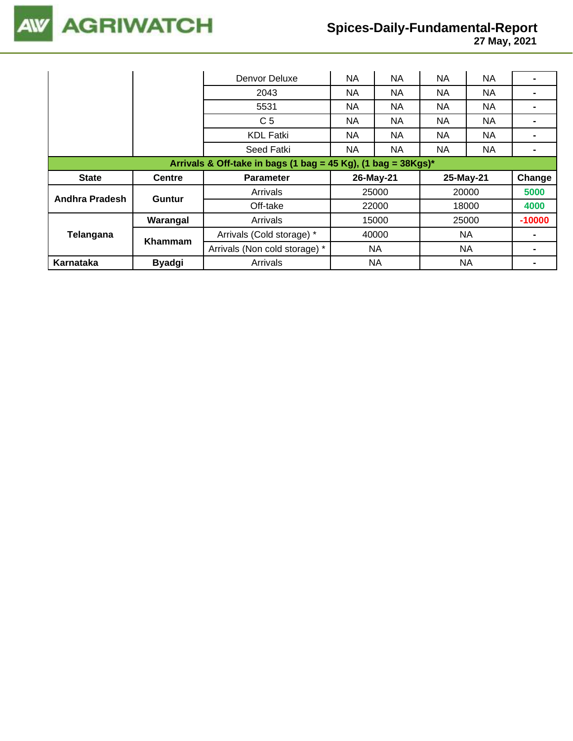

|                                                                  |               | Denvor Deluxe                 | NA  | NA        | <b>NA</b> | <b>NA</b> |          |  |
|------------------------------------------------------------------|---------------|-------------------------------|-----|-----------|-----------|-----------|----------|--|
|                                                                  |               | 2043                          | NA  | NA        | <b>NA</b> | <b>NA</b> |          |  |
|                                                                  |               | 5531                          | NA. | NA.       | <b>NA</b> | NA.       |          |  |
|                                                                  |               | C <sub>5</sub>                | NA. | NA.       | NA.       | NA.       |          |  |
|                                                                  |               | <b>KDL Fatki</b>              | NA. | NA.       | NA.       | NA.       |          |  |
|                                                                  |               | Seed Fatki                    | NA  | <b>NA</b> | <b>NA</b> | <b>NA</b> |          |  |
| Arrivals & Off-take in bags (1 bag = 45 Kg), (1 bag = $38Kgs$ )* |               |                               |     |           |           |           |          |  |
|                                                                  |               |                               |     |           |           |           |          |  |
| <b>State</b>                                                     | <b>Centre</b> | <b>Parameter</b>              |     | 26-May-21 |           | 25-May-21 | Change   |  |
|                                                                  |               | Arrivals                      |     | 25000     |           | 20000     | 5000     |  |
| Andhra Pradesh                                                   | <b>Guntur</b> | Off-take                      |     | 22000     |           | 18000     | 4000     |  |
|                                                                  | Warangal      | Arrivals                      |     | 15000     |           | 25000     | $-10000$ |  |
| Telangana                                                        |               | Arrivals (Cold storage) *     |     | 40000     |           | NA        |          |  |
|                                                                  | Khammam       | Arrivals (Non cold storage) * |     | NA.       |           | NA        |          |  |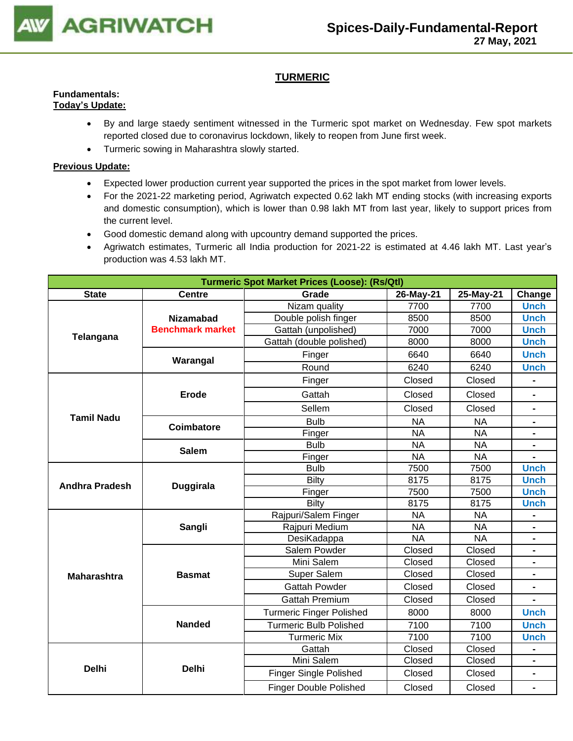

# **TURMERIC**

#### **Fundamentals: Today's Update:**

- By and large staedy sentiment witnessed in the Turmeric spot market on Wednesday. Few spot markets reported closed due to coronavirus lockdown, likely to reopen from June first week.
	- Turmeric sowing in Maharashtra slowly started.

- Expected lower production current year supported the prices in the spot market from lower levels.
- For the 2021-22 marketing period, Agriwatch expected 0.62 lakh MT ending stocks (with increasing exports and domestic consumption), which is lower than 0.98 lakh MT from last year, likely to support prices from the current level.
- Good domestic demand along with upcountry demand supported the prices.
- Agriwatch estimates, Turmeric all India production for 2021-22 is estimated at 4.46 lakh MT. Last year's production was 4.53 lakh MT.

|                       |                         | <b>Turmeric Spot Market Prices (Loose): (Rs/Qtl)</b>                                                                                                                 |           |           |                                                                                                                                                                                                                                                                                                                                                                                                                                                                                                                                              |  |  |  |  |
|-----------------------|-------------------------|----------------------------------------------------------------------------------------------------------------------------------------------------------------------|-----------|-----------|----------------------------------------------------------------------------------------------------------------------------------------------------------------------------------------------------------------------------------------------------------------------------------------------------------------------------------------------------------------------------------------------------------------------------------------------------------------------------------------------------------------------------------------------|--|--|--|--|
| <b>State</b>          | <b>Centre</b>           | Grade                                                                                                                                                                | 26-May-21 | 25-May-21 | Change                                                                                                                                                                                                                                                                                                                                                                                                                                                                                                                                       |  |  |  |  |
|                       |                         | Nizam quality                                                                                                                                                        | 7700      | 7700      | <b>Unch</b>                                                                                                                                                                                                                                                                                                                                                                                                                                                                                                                                  |  |  |  |  |
|                       | <b>Nizamabad</b>        | Double polish finger                                                                                                                                                 | 8500      |           |                                                                                                                                                                                                                                                                                                                                                                                                                                                                                                                                              |  |  |  |  |
| Telangana             | <b>Benchmark market</b> | Gattah (unpolished)                                                                                                                                                  | 7000      |           |                                                                                                                                                                                                                                                                                                                                                                                                                                                                                                                                              |  |  |  |  |
|                       |                         | Gattah (double polished)                                                                                                                                             | 8000      |           |                                                                                                                                                                                                                                                                                                                                                                                                                                                                                                                                              |  |  |  |  |
|                       | Warangal                | Finger                                                                                                                                                               | 6640      | 6640      | <b>Unch</b>                                                                                                                                                                                                                                                                                                                                                                                                                                                                                                                                  |  |  |  |  |
|                       |                         | Round                                                                                                                                                                | 6240      | 6240      | <b>Unch</b>                                                                                                                                                                                                                                                                                                                                                                                                                                                                                                                                  |  |  |  |  |
|                       |                         | Finger                                                                                                                                                               | Closed    | Closed    |                                                                                                                                                                                                                                                                                                                                                                                                                                                                                                                                              |  |  |  |  |
|                       | Erode                   | Gattah                                                                                                                                                               | Closed    | Closed    |                                                                                                                                                                                                                                                                                                                                                                                                                                                                                                                                              |  |  |  |  |
|                       |                         | Sellem                                                                                                                                                               | Closed    | Closed    | $\blacksquare$                                                                                                                                                                                                                                                                                                                                                                                                                                                                                                                               |  |  |  |  |
| <b>Tamil Nadu</b>     | Coimbatore              | <b>Bulb</b>                                                                                                                                                          | <b>NA</b> | <b>NA</b> | 8500<br><b>Unch</b><br>7000<br><b>Unch</b><br><b>Unch</b><br>8000<br>$\blacksquare$<br><b>NA</b><br><b>NA</b><br><b>NA</b><br>7500<br><b>Unch</b><br>8175<br><b>Unch</b><br>7500<br><b>Unch</b><br>8175<br><b>Unch</b><br><b>NA</b><br><b>NA</b><br><b>NA</b><br>Closed<br>Closed<br>$\blacksquare$<br>Closed<br>$\blacksquare$<br>Closed<br>Closed<br>$\blacksquare$<br>8000<br><b>Unch</b><br>7100<br><b>Unch</b><br>7100<br><b>Unch</b><br>Closed<br>$\qquad \qquad \blacksquare$<br>Closed<br>$\blacksquare$<br>Closed<br>$\blacksquare$ |  |  |  |  |
|                       |                         | Finger                                                                                                                                                               | <b>NA</b> |           |                                                                                                                                                                                                                                                                                                                                                                                                                                                                                                                                              |  |  |  |  |
|                       | <b>Salem</b>            | <b>Bulb</b>                                                                                                                                                          | <b>NA</b> |           |                                                                                                                                                                                                                                                                                                                                                                                                                                                                                                                                              |  |  |  |  |
|                       |                         | Finger                                                                                                                                                               | <b>NA</b> |           |                                                                                                                                                                                                                                                                                                                                                                                                                                                                                                                                              |  |  |  |  |
|                       |                         | <b>Bulb</b>                                                                                                                                                          | 7500      |           |                                                                                                                                                                                                                                                                                                                                                                                                                                                                                                                                              |  |  |  |  |
| <b>Andhra Pradesh</b> | <b>Duggirala</b>        | Bilty                                                                                                                                                                | 8175      |           |                                                                                                                                                                                                                                                                                                                                                                                                                                                                                                                                              |  |  |  |  |
|                       |                         | Finger                                                                                                                                                               | 7500      |           |                                                                                                                                                                                                                                                                                                                                                                                                                                                                                                                                              |  |  |  |  |
|                       |                         | <b>Bilty</b>                                                                                                                                                         | 8175      |           |                                                                                                                                                                                                                                                                                                                                                                                                                                                                                                                                              |  |  |  |  |
|                       |                         | Rajpuri/Salem Finger                                                                                                                                                 | <b>NA</b> |           |                                                                                                                                                                                                                                                                                                                                                                                                                                                                                                                                              |  |  |  |  |
|                       | Sangli                  |                                                                                                                                                                      |           |           |                                                                                                                                                                                                                                                                                                                                                                                                                                                                                                                                              |  |  |  |  |
|                       |                         |                                                                                                                                                                      |           |           |                                                                                                                                                                                                                                                                                                                                                                                                                                                                                                                                              |  |  |  |  |
|                       |                         |                                                                                                                                                                      |           |           |                                                                                                                                                                                                                                                                                                                                                                                                                                                                                                                                              |  |  |  |  |
|                       |                         |                                                                                                                                                                      |           |           |                                                                                                                                                                                                                                                                                                                                                                                                                                                                                                                                              |  |  |  |  |
| <b>Maharashtra</b>    | <b>Basmat</b>           | Rajpuri Medium<br><b>NA</b><br>DesiKadappa<br><b>NA</b><br>Salem Powder<br>Closed<br>Mini Salem<br>Closed<br>Closed<br>Super Salem<br><b>Gattah Powder</b><br>Closed |           |           |                                                                                                                                                                                                                                                                                                                                                                                                                                                                                                                                              |  |  |  |  |
|                       |                         |                                                                                                                                                                      |           |           |                                                                                                                                                                                                                                                                                                                                                                                                                                                                                                                                              |  |  |  |  |
|                       |                         | <b>Gattah Premium</b>                                                                                                                                                | Closed    |           |                                                                                                                                                                                                                                                                                                                                                                                                                                                                                                                                              |  |  |  |  |
|                       |                         | <b>Turmeric Finger Polished</b>                                                                                                                                      | 8000      |           |                                                                                                                                                                                                                                                                                                                                                                                                                                                                                                                                              |  |  |  |  |
|                       | <b>Nanded</b>           | <b>Turmeric Bulb Polished</b>                                                                                                                                        | 7100      |           |                                                                                                                                                                                                                                                                                                                                                                                                                                                                                                                                              |  |  |  |  |
|                       |                         | <b>Turmeric Mix</b>                                                                                                                                                  | 7100      |           |                                                                                                                                                                                                                                                                                                                                                                                                                                                                                                                                              |  |  |  |  |
|                       |                         | Gattah                                                                                                                                                               | Closed    |           |                                                                                                                                                                                                                                                                                                                                                                                                                                                                                                                                              |  |  |  |  |
|                       |                         | Mini Salem                                                                                                                                                           | Closed    |           |                                                                                                                                                                                                                                                                                                                                                                                                                                                                                                                                              |  |  |  |  |
| <b>Delhi</b>          | <b>Delhi</b>            | <b>Finger Single Polished</b>                                                                                                                                        | Closed    |           |                                                                                                                                                                                                                                                                                                                                                                                                                                                                                                                                              |  |  |  |  |
|                       |                         | <b>Finger Double Polished</b>                                                                                                                                        | Closed    | Closed    | $\blacksquare$                                                                                                                                                                                                                                                                                                                                                                                                                                                                                                                               |  |  |  |  |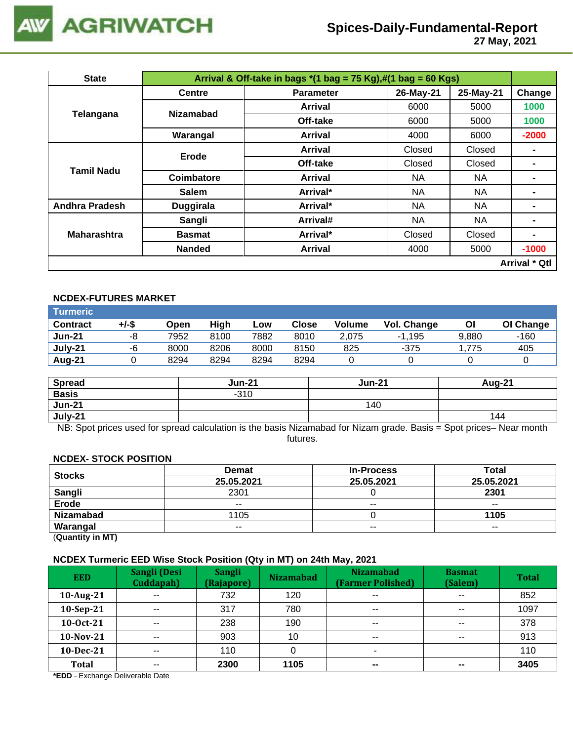

 **27 May, 2021**

| <b>State</b>          |                  | Arrival & Off-take in bags $*(1 \text{ bag} = 75 \text{ Kg}),\#(1 \text{ bag} = 60 \text{ Kg})$ |           |           |                      |
|-----------------------|------------------|-------------------------------------------------------------------------------------------------|-----------|-----------|----------------------|
|                       | <b>Centre</b>    | <b>Parameter</b>                                                                                | 26-May-21 | 25-May-21 | Change               |
| Telangana             | <b>Nizamabad</b> | Arrival                                                                                         | 6000      | 5000      | 1000                 |
|                       |                  | Off-take                                                                                        | 6000      | 5000      | 1000                 |
|                       | Warangal         | Arrival                                                                                         | 4000      | 6000      | $-2000$              |
|                       | Erode            | Arrival                                                                                         | Closed    | Closed    |                      |
| <b>Tamil Nadu</b>     |                  | Off-take                                                                                        | Closed    | Closed    |                      |
|                       | Coimbatore       | Arrival                                                                                         | NA.       | NA.       |                      |
|                       | <b>Salem</b>     | Arrival*                                                                                        | NA.       | NA        | $\blacksquare$       |
| <b>Andhra Pradesh</b> | <b>Duggirala</b> | Arrival*                                                                                        | NA.       | NA        | $\blacksquare$       |
|                       | Sangli           | Arrival#                                                                                        | NA.       | NA        |                      |
| <b>Maharashtra</b>    | <b>Basmat</b>    | Arrival*                                                                                        | Closed    | Closed    | $\blacksquare$       |
|                       | <b>Nanded</b>    | <b>Arrival</b>                                                                                  | 4000      | 5000      | $-1000$              |
|                       |                  |                                                                                                 |           |           | <b>Arrival * Qtl</b> |

# **NCDEX-FUTURES MARKET**

| Turmeric        |       |      |      |      |              |               |             |       |           |
|-----------------|-------|------|------|------|--------------|---------------|-------------|-------|-----------|
| <b>Contract</b> | +/-\$ | Open | High | Low  | <b>Close</b> | <b>Volume</b> | Vol. Change | ΟI    | OI Change |
| <b>Jun-21</b>   | -8    | 7952 | 8100 | 7882 | 8010         | 2.075         | $-1.195$    | 9,880 | -160      |
| July-21         | -6    | 8000 | 8206 | 8000 | 8150         | 825           | $-375$      | 1.775 | 405       |
| Aug-21          |       | 8294 | 8294 | 8294 | 8294         |               |             |       |           |

| <b>Spread</b> | <b>Jun-21</b> | <b>Jun-21</b> | <b>Aug-21</b> |
|---------------|---------------|---------------|---------------|
| <b>Basis</b>  | $-310$        |               |               |
| <b>Jun-21</b> |               | 140           |               |
| July-21       |               |               | 144           |

NB: Spot prices used for spread calculation is the basis Nizamabad for Nizam grade. Basis = Spot prices– Near month futures.

#### **NCDEX- STOCK POSITION**

| <b>Stocks</b>    | <b>Demat</b> | <b>In-Process</b> | <b>Total</b> |
|------------------|--------------|-------------------|--------------|
|                  | 25.05.2021   | 25.05.2021        | 25.05.2021   |
| <b>Sangli</b>    | 2301         |                   | 2301         |
| <b>Erode</b>     | $- -$        | $- -$             | $- -$        |
| <b>Nizamabad</b> | 1105         |                   | 1105         |
| Warangal         | $- -$        | $- -$             | $- -$        |
|                  |              |                   |              |

(**Quantity in MT)**

#### **NCDEX Turmeric EED Wise Stock Position (Qty in MT) on 24th May, 2021**

| <b>EED</b>   | Sangli (Desi<br>Cuddapah) | <b>Sangli</b><br>(Rajapore) | <b>Nizamabad</b> | <b>Nizamabad</b><br>(Farmer Polished) | <b>Basmat</b><br>(Salem) | <b>Total</b> |
|--------------|---------------------------|-----------------------------|------------------|---------------------------------------|--------------------------|--------------|
| 10-Aug-21    | $\overline{\phantom{a}}$  | 732                         | 120              | $\sim$ $\sim$                         | $\sim$ $\sim$            | 852          |
| 10-Sep-21    | $- -$                     | 317                         | 780              | $\sim$ $\sim$                         | $\sim$ $\sim$            | 1097         |
| 10-0ct-21    | $\sim$ $\sim$             | 238                         | 190              | $\sim$ $\sim$                         | $\sim$ $\sim$            | 378          |
| 10-Nov-21    | $- -$                     | 903                         | 10               | $- -$                                 | $- -$                    | 913          |
| 10-Dec-21    | $- -$                     | 110                         |                  | ۰                                     |                          | 110          |
| <b>Total</b> | $- -$                     | 2300                        | 1105             | $\overline{\phantom{m}}$              | $\sim$                   | 3405         |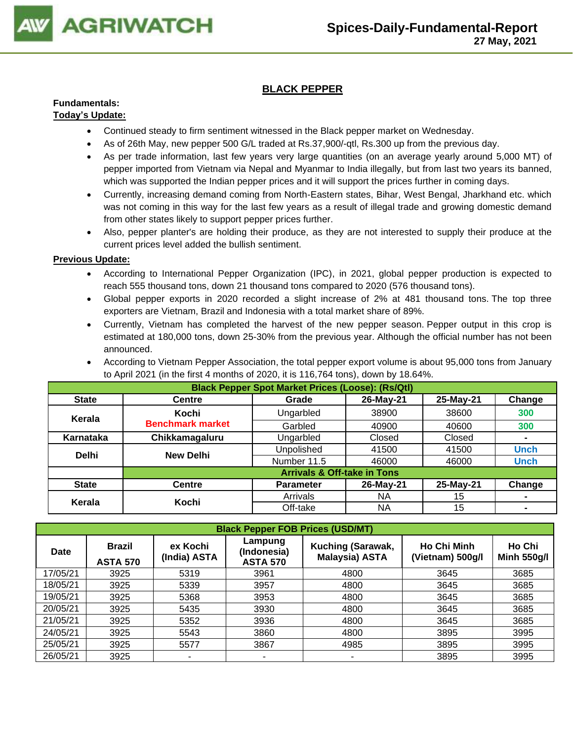

# **BLACK PEPPER**

# **Fundamentals:**

# **Today's Update:**

- Continued steady to firm sentiment witnessed in the Black pepper market on Wednesday.
- As of 26th May, new pepper 500 G/L traded at Rs.37,900/-qtl, Rs.300 up from the previous day.
- As per trade information, last few years very large quantities (on an average yearly around 5,000 MT) of pepper imported from Vietnam via Nepal and Myanmar to India illegally, but from last two years its banned, which was supported the Indian pepper prices and it will support the prices further in coming days.
- Currently, increasing demand coming from North-Eastern states, Bihar, West Bengal, Jharkhand etc. which was not coming in this way for the last few years as a result of illegal trade and growing domestic demand from other states likely to support pepper prices further.
- Also, pepper planter's are holding their produce, as they are not interested to supply their produce at the current prices level added the bullish sentiment.

- According to International Pepper Organization (IPC), in 2021, global pepper production is expected to reach 555 thousand tons, down 21 thousand tons compared to 2020 (576 thousand tons).
- Global pepper exports in 2020 recorded a slight increase of 2% at 481 thousand tons. The top three exporters are Vietnam, Brazil and Indonesia with a total market share of 89%.
- Currently, Vietnam has completed the harvest of the new pepper season. Pepper output in this crop is estimated at 180,000 tons, down 25-30% from the previous year. Although the official number has not been announced.
- According to Vietnam Pepper Association, the total pepper export volume is about 95,000 tons from January to April 2021 (in the first 4 months of 2020, it is 116,764 tons), down by 18.64%.

|              | <b>Black Pepper Spot Market Prices (Loose): (Rs/Qtl)</b> |                                        |           |           |                |  |  |  |  |  |
|--------------|----------------------------------------------------------|----------------------------------------|-----------|-----------|----------------|--|--|--|--|--|
| <b>State</b> | <b>Centre</b>                                            | Grade                                  | 26-May-21 | 25-May-21 | Change         |  |  |  |  |  |
| Kerala       | Kochi                                                    | Ungarbled                              | 38900     | 38600     | 300            |  |  |  |  |  |
|              | <b>Benchmark market</b>                                  | Garbled                                | 40900     | 40600     | 300            |  |  |  |  |  |
| Karnataka    | Chikkamagaluru                                           | Ungarbled                              | Closed    | Closed    | $\blacksquare$ |  |  |  |  |  |
| <b>Delhi</b> | <b>New Delhi</b>                                         | Unpolished                             | 41500     | 41500     | <b>Unch</b>    |  |  |  |  |  |
|              |                                                          | Number 11.5                            | 46000     | 46000     | <b>Unch</b>    |  |  |  |  |  |
|              |                                                          | <b>Arrivals &amp; Off-take in Tons</b> |           |           |                |  |  |  |  |  |
| <b>State</b> | <b>Centre</b>                                            | <b>Parameter</b>                       | 26-May-21 | 25-May-21 | Change         |  |  |  |  |  |
| Kerala       | Kochi                                                    | Arrivals                               | NA        | 15        | $\blacksquare$ |  |  |  |  |  |
|              |                                                          | Off-take                               | ΝA        | 15        | $\blacksquare$ |  |  |  |  |  |

| <b>Black Pepper FOB Prices (USD/MT)</b> |                                  |                          |                                           |                                            |                                        |                              |  |  |  |
|-----------------------------------------|----------------------------------|--------------------------|-------------------------------------------|--------------------------------------------|----------------------------------------|------------------------------|--|--|--|
| <b>Date</b>                             | <b>Brazil</b><br><b>ASTA 570</b> | ex Kochi<br>(India) ASTA | Lampung<br>(Indonesia)<br><b>ASTA 570</b> | Kuching (Sarawak,<br><b>Malaysia) ASTA</b> | <b>Ho Chi Minh</b><br>(Vietnam) 500g/l | Ho Chi<br><b>Minh 550g/l</b> |  |  |  |
| 17/05/21                                | 3925                             | 5319                     | 3961                                      | 4800                                       | 3645                                   | 3685                         |  |  |  |
| 18/05/21                                | 3925                             | 5339                     | 3957                                      | 4800                                       | 3645                                   | 3685                         |  |  |  |
| 19/05/21                                | 3925                             | 5368                     | 3953                                      | 4800                                       | 3645                                   | 3685                         |  |  |  |
| 20/05/21                                | 3925                             | 5435                     | 3930                                      | 4800                                       | 3645                                   | 3685                         |  |  |  |
| 21/05/21                                | 3925                             | 5352                     | 3936                                      | 4800                                       | 3645                                   | 3685                         |  |  |  |
| 24/05/21                                | 3925                             | 5543                     | 3860                                      | 4800                                       | 3895                                   | 3995                         |  |  |  |
| 25/05/21                                | 3925                             | 5577                     | 3867                                      | 4985                                       | 3895                                   | 3995                         |  |  |  |
| 26/05/21                                | 3925                             | ۰                        | -                                         | ٠                                          | 3895                                   | 3995                         |  |  |  |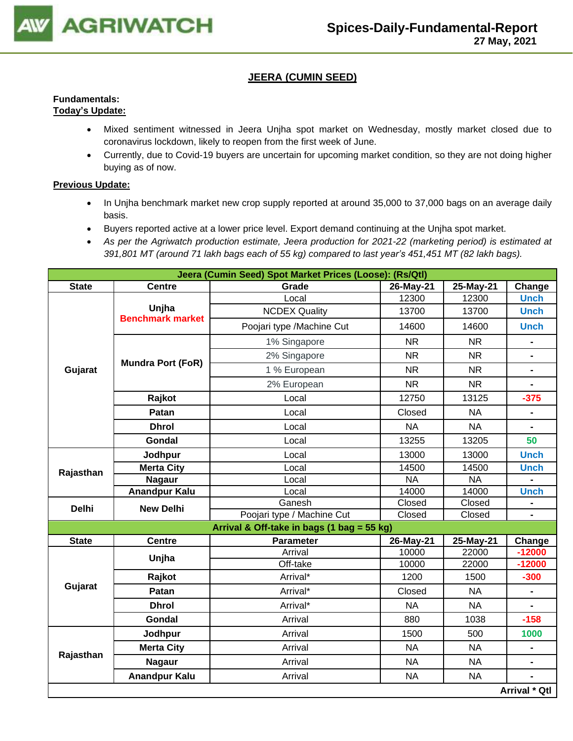

## **JEERA (CUMIN SEED)**

#### **Fundamentals: Today's Update:**

- Mixed sentiment witnessed in Jeera Unjha spot market on Wednesday, mostly market closed due to coronavirus lockdown, likely to reopen from the first week of June.
- Currently, due to Covid-19 buyers are uncertain for upcoming market condition, so they are not doing higher buying as of now.

- In Unjha benchmark market new crop supply reported at around 35,000 to 37,000 bags on an average daily basis.
- Buyers reported active at a lower price level. Export demand continuing at the Unjha spot market.
- *As per the Agriwatch production estimate, Jeera production for 2021-22 (marketing period) is estimated at 391,801 MT (around 71 lakh bags each of 55 kg) compared to last year's 451,451 MT (82 lakh bags).*

|              | Jeera (Cumin Seed) Spot Market Prices (Loose): (Rs/Qtl) |                                            |           |           |                |  |  |  |  |
|--------------|---------------------------------------------------------|--------------------------------------------|-----------|-----------|----------------|--|--|--|--|
| <b>State</b> | <b>Centre</b>                                           | Grade                                      | 26-May-21 | 25-May-21 | Change         |  |  |  |  |
|              |                                                         | Local                                      | 12300     | 12300     | <b>Unch</b>    |  |  |  |  |
|              | Unjha<br><b>Benchmark market</b>                        | <b>NCDEX Quality</b>                       | 13700     | 13700     | <b>Unch</b>    |  |  |  |  |
|              |                                                         | Poojari type /Machine Cut                  | 14600     | 14600     | <b>Unch</b>    |  |  |  |  |
|              |                                                         | 1% Singapore                               | <b>NR</b> | <b>NR</b> |                |  |  |  |  |
|              | <b>Mundra Port (FoR)</b>                                | 2% Singapore                               | <b>NR</b> | <b>NR</b> |                |  |  |  |  |
| Gujarat      |                                                         | 1 % European                               | <b>NR</b> | <b>NR</b> | $\blacksquare$ |  |  |  |  |
|              |                                                         | 2% European                                | <b>NR</b> | <b>NR</b> | $\blacksquare$ |  |  |  |  |
|              | Rajkot                                                  | Local                                      | 12750     | 13125     | $-375$         |  |  |  |  |
|              | Patan                                                   | Local                                      | Closed    | <b>NA</b> |                |  |  |  |  |
|              | <b>Dhrol</b>                                            | Local                                      | <b>NA</b> | <b>NA</b> | $\blacksquare$ |  |  |  |  |
|              | Gondal                                                  | Local                                      | 13255     | 13205     | 50             |  |  |  |  |
| Rajasthan    | Jodhpur                                                 | Local                                      | 13000     | 13000     | <b>Unch</b>    |  |  |  |  |
|              | <b>Merta City</b>                                       | Local                                      | 14500     | 14500     | <b>Unch</b>    |  |  |  |  |
|              | <b>Nagaur</b>                                           | Local                                      | <b>NA</b> | <b>NA</b> |                |  |  |  |  |
|              | <b>Anandpur Kalu</b>                                    | Local                                      | 14000     | 14000     | <b>Unch</b>    |  |  |  |  |
| <b>Delhi</b> | <b>New Delhi</b>                                        | Ganesh                                     | Closed    | Closed    |                |  |  |  |  |
|              |                                                         | Poojari type / Machine Cut                 | Closed    | Closed    |                |  |  |  |  |
|              |                                                         | Arrival & Off-take in bags (1 bag = 55 kg) |           |           |                |  |  |  |  |
| <b>State</b> | <b>Centre</b>                                           | <b>Parameter</b>                           | 26-May-21 | 25-May-21 | Change         |  |  |  |  |
|              | Unjha                                                   | Arrival                                    | 10000     | 22000     | $-12000$       |  |  |  |  |
|              |                                                         | Off-take                                   | 10000     | 22000     | $-12000$       |  |  |  |  |
|              | Rajkot                                                  | Arrival*                                   | 1200      | 1500      | $-300$         |  |  |  |  |
| Gujarat      | Patan                                                   | Arrival*                                   | Closed    | <b>NA</b> | $\blacksquare$ |  |  |  |  |
|              | <b>Dhrol</b>                                            | Arrival*                                   | <b>NA</b> | <b>NA</b> |                |  |  |  |  |
|              | Gondal                                                  | Arrival                                    | 880       | 1038      | $-158$         |  |  |  |  |
|              | Jodhpur                                                 | Arrival                                    | 1500      | 500       | 1000           |  |  |  |  |
| Rajasthan    | <b>Merta City</b>                                       | Arrival                                    | <b>NA</b> | <b>NA</b> | -              |  |  |  |  |
|              | <b>Nagaur</b>                                           | Arrival                                    | <b>NA</b> | <b>NA</b> | $\blacksquare$ |  |  |  |  |
|              | <b>Anandpur Kalu</b>                                    | Arrival                                    | <b>NA</b> | <b>NA</b> |                |  |  |  |  |
|              |                                                         |                                            |           |           | Arrival * Qtl  |  |  |  |  |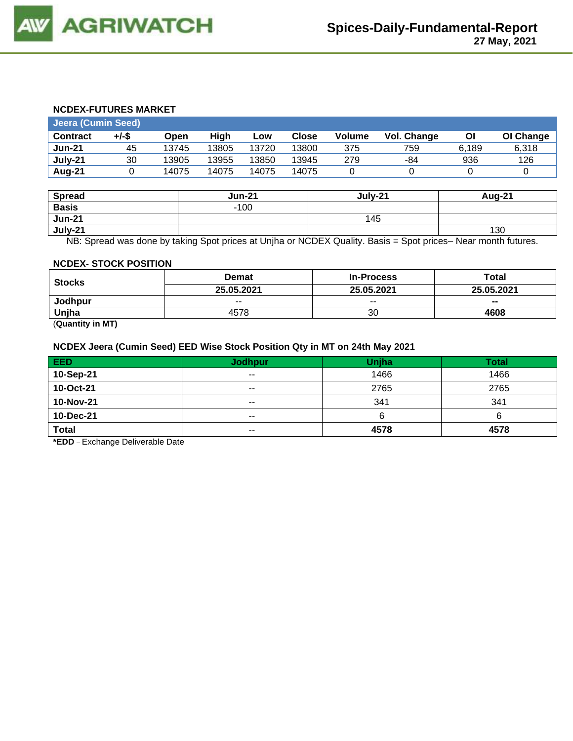#### **NCDEX-FUTURES MARKET**

| <b>Jeera (Cumin Seed)</b> |       |       |       |       |              |        |             |       |           |
|---------------------------|-------|-------|-------|-------|--------------|--------|-------------|-------|-----------|
| <b>Contract</b>           | +/-\$ | Open  | Hiah  | Low   | <b>Close</b> | Volume | Vol. Change | ΟI    | OI Change |
| <b>Jun-21</b>             | 45    | 13745 | 13805 | 13720 | 13800        | 375    | 759         | 6.189 | 6.318     |
| July-21                   | 30    | 13905 | 13955 | 13850 | 13945        | 279    | -84         | 936   | 126       |
| Aug-21                    |       | 14075 | 14075 | 14075 | 14075        |        |             |       |           |

| <b>Spread</b> | <b>Jun-21</b> | July-21 | Aug-21 |
|---------------|---------------|---------|--------|
| <b>Basis</b>  | $-100$        |         |        |
| <b>Jun-21</b> |               | 145     |        |
| July-21       |               |         | 130    |

NB: Spread was done by taking Spot prices at Unjha or NCDEX Quality. Basis = Spot prices– Near month futures.

#### **NCDEX- STOCK POSITION**

| <b>Stocks</b> | <b>Demat</b> | <b>In-Process</b> | Total      |
|---------------|--------------|-------------------|------------|
|               | 25.05.2021   | 25.05.2021        | 25.05.2021 |
| Jodhpur       | $- -$        | $- -$             | $- -$      |
| Unjha         | 4578         | 30                | 4608       |

(**Quantity in MT)**

#### **NCDEX Jeera (Cumin Seed) EED Wise Stock Position Qty in MT on 24th May 2021**

| <b>EED</b>   | <b>Jodhpur</b> | Unjha | <b>Total</b> |
|--------------|----------------|-------|--------------|
| 10-Sep-21    | $- -$          | 1466  | 1466         |
| 10-Oct-21    | $- -$          | 2765  | 2765         |
| 10-Nov-21    | $- -$          | 341   | 341          |
| 10-Dec-21    | $- -$          | n     | о            |
| <b>Total</b> | $- -$          | 4578  | 4578         |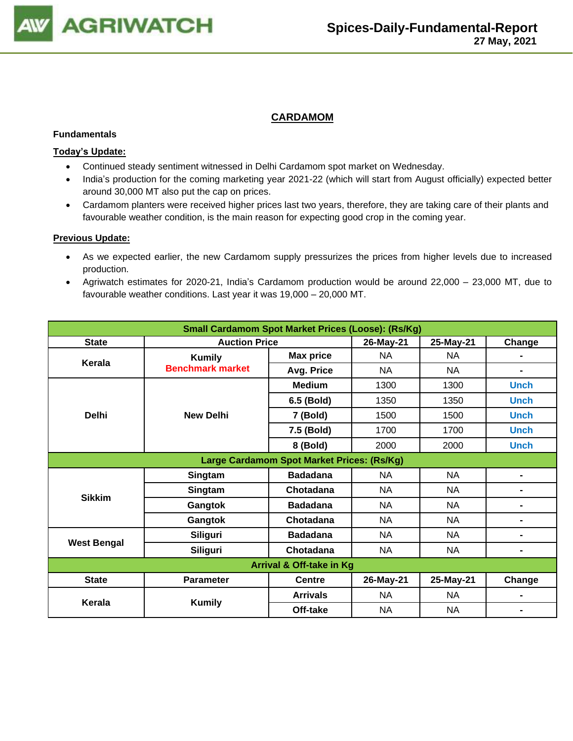

## **CARDAMOM**

#### **Fundamentals**

#### **Today's Update:**

- Continued steady sentiment witnessed in Delhi Cardamom spot market on Wednesday.
- India's production for the coming marketing year 2021-22 (which will start from August officially) expected better around 30,000 MT also put the cap on prices.
- Cardamom planters were received higher prices last two years, therefore, they are taking care of their plants and favourable weather condition, is the main reason for expecting good crop in the coming year.

- As we expected earlier, the new Cardamom supply pressurizes the prices from higher levels due to increased production.
- Agriwatch estimates for 2020-21, India's Cardamom production would be around 22,000 23,000 MT, due to favourable weather conditions. Last year it was 19,000 – 20,000 MT.

| <b>Small Cardamom Spot Market Prices (Loose): (Rs/Kg)</b> |                         |                                            |           |           |                |  |  |
|-----------------------------------------------------------|-------------------------|--------------------------------------------|-----------|-----------|----------------|--|--|
| <b>State</b>                                              | <b>Auction Price</b>    |                                            | 26-May-21 | 25-May-21 | Change         |  |  |
| Kerala                                                    | <b>Kumily</b>           | <b>Max price</b>                           | NA.       | NA        | $\blacksquare$ |  |  |
|                                                           | <b>Benchmark market</b> | Avg. Price                                 | <b>NA</b> | <b>NA</b> | $\blacksquare$ |  |  |
|                                                           |                         | <b>Medium</b>                              | 1300      | 1300      | <b>Unch</b>    |  |  |
|                                                           |                         | 6.5 (Bold)                                 | 1350      | 1350      | <b>Unch</b>    |  |  |
| <b>Delhi</b>                                              | <b>New Delhi</b>        | 7 (Bold)                                   | 1500      | 1500      | <b>Unch</b>    |  |  |
|                                                           |                         | 7.5 (Bold)                                 | 1700      | 1700      | <b>Unch</b>    |  |  |
|                                                           |                         | 8 (Bold)                                   | 2000      | 2000      | <b>Unch</b>    |  |  |
|                                                           |                         | Large Cardamom Spot Market Prices: (Rs/Kg) |           |           |                |  |  |
|                                                           | Singtam                 | <b>Badadana</b>                            | NA        | <b>NA</b> | $\blacksquare$ |  |  |
| <b>Sikkim</b>                                             | Singtam                 | Chotadana                                  | NA        | <b>NA</b> | $\blacksquare$ |  |  |
|                                                           | Gangtok                 | <b>Badadana</b>                            | NA        | <b>NA</b> | $\blacksquare$ |  |  |
|                                                           | Gangtok                 | Chotadana                                  | NA.       | NA        | $\blacksquare$ |  |  |
|                                                           | <b>Siliguri</b>         | <b>Badadana</b>                            | <b>NA</b> | <b>NA</b> | $\blacksquare$ |  |  |
| <b>West Bengal</b>                                        | <b>Siliguri</b>         | Chotadana                                  | NA        | <b>NA</b> | $\blacksquare$ |  |  |
| <b>Arrival &amp; Off-take in Kg</b>                       |                         |                                            |           |           |                |  |  |
| <b>State</b>                                              | <b>Parameter</b>        | <b>Centre</b>                              | 26-May-21 | 25-May-21 | Change         |  |  |
|                                                           |                         | <b>Arrivals</b>                            | <b>NA</b> | <b>NA</b> |                |  |  |
| Kerala                                                    | <b>Kumily</b>           | Off-take                                   | <b>NA</b> | <b>NA</b> |                |  |  |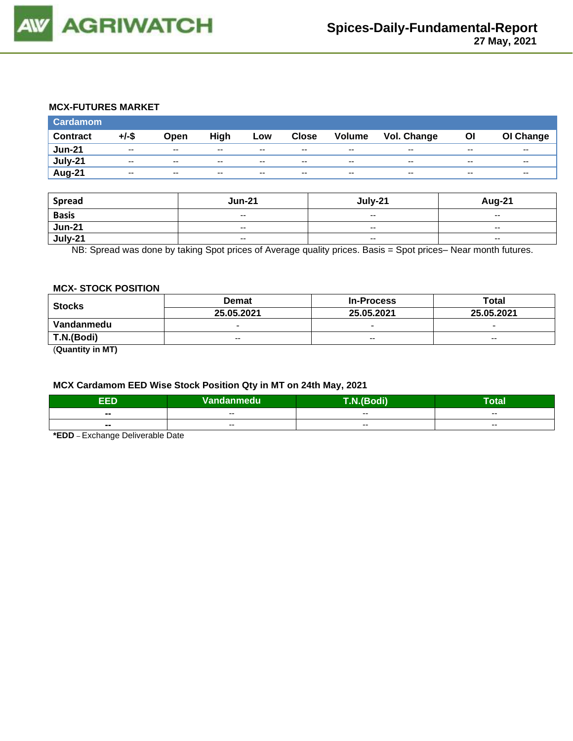

#### **MCX-FUTURES MARKET**

| <b>Cardamom</b> |          |       |      |       |              |               |                    |       |           |
|-----------------|----------|-------|------|-------|--------------|---------------|--------------------|-------|-----------|
| <b>Contract</b> | $+/-$ \$ | Open  | High | Low   | <b>Close</b> | <b>Volume</b> | <b>Vol. Change</b> | Οl    | OI Change |
| <b>Jun-21</b>   | $- -$    | $- -$ | --   | $- -$ | $- -$        | $- -$         | $- -$              | $- -$ | $- -$     |
| July-21         | $- -$    | $- -$ | $-$  | $- -$ | $- -$        | $-$           | $- -$              | $- -$ | $- -$     |
| Aug-21          | $- -$    | $- -$ | --   | $- -$ | $- -$        | $- -$         | $- -$              | $- -$ | $- -$     |

| <b>Spread</b>  | <b>Jun-21</b>            | July-21                  | <b>Aug-21</b>            |
|----------------|--------------------------|--------------------------|--------------------------|
| <b>Basis</b>   | $- -$                    | $\sim$ $\sim$            | $- -$                    |
| <b>Jun-21</b>  | $- -$                    | $\sim$ $\sim$            | $\sim$                   |
| <b>July-21</b> | $\overline{\phantom{a}}$ | $\overline{\phantom{a}}$ | $\overline{\phantom{a}}$ |

NB: Spread was done by taking Spot prices of Average quality prices. Basis = Spot prices– Near month futures.

#### **MCX- STOCK POSITION**

| <b>Stocks</b> | <b>Demat</b>             | <b>In-Process</b>        | Total                    |  |
|---------------|--------------------------|--------------------------|--------------------------|--|
|               | 25.05.2021               | 25.05.2021               | 25.05.2021               |  |
| Vandanmedu    | $\overline{\phantom{0}}$ | $\overline{\phantom{0}}$ | $\overline{\phantom{0}}$ |  |
| T.N.(Bodi)    | $- -$                    | $-$                      | $- -$                    |  |
| (①            |                          |                          |                          |  |

(**Quantity in MT)**

# **MCX Cardamom EED Wise Stock Position Qty in MT on 24th May, 2021**

| ननर<br>-11                       | Vandanmedu | T.N.(Bodi) | –<br>'otal |  |
|----------------------------------|------------|------------|------------|--|
| $\overline{\phantom{a}}$         | $- -$      | $- -$      | $- -$      |  |
| $\overline{\phantom{a}}$<br>$ -$ | $- -$      | $- -$      | $- -$      |  |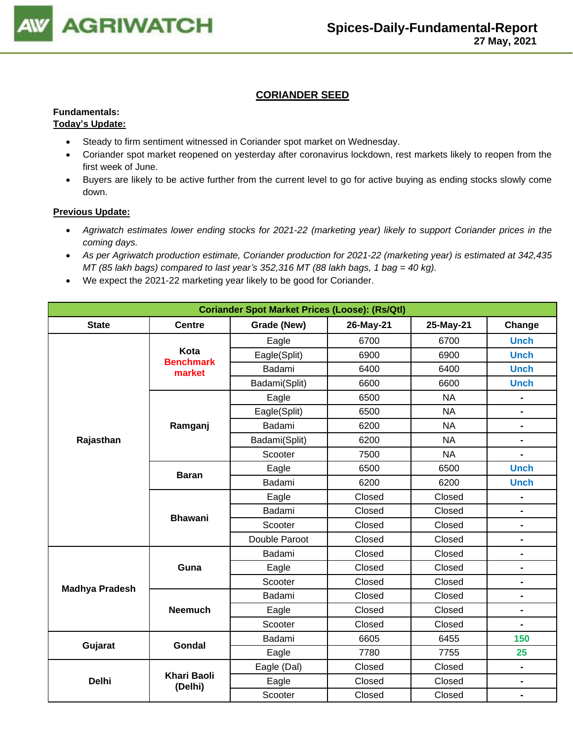

# **CORIANDER SEED**

#### **Fundamentals: Today's Update:**

### • Steady to firm sentiment witnessed in Coriander spot market on Wednesday.

- Coriander spot market reopened on yesterday after coronavirus lockdown, rest markets likely to reopen from the first week of June.
- Buyers are likely to be active further from the current level to go for active buying as ending stocks slowly come down.

- *Agriwatch estimates lower ending stocks for 2021-22 (marketing year) likely to support Coriander prices in the coming days.*
- *As per Agriwatch production estimate, Coriander production for 2021-22 (marketing year) is estimated at 342,435 MT (85 lakh bags) compared to last year's 352,316 MT (88 lakh bags, 1 bag = 40 kg).*
- We expect the 2021-22 marketing year likely to be good for Coriander.

| <b>Coriander Spot Market Prices (Loose): (Rs/Qtl)</b> |                               |               |           |           |                              |  |  |
|-------------------------------------------------------|-------------------------------|---------------|-----------|-----------|------------------------------|--|--|
| <b>State</b>                                          | <b>Centre</b>                 | Grade (New)   | 26-May-21 | 25-May-21 | Change                       |  |  |
|                                                       |                               | Eagle         | 6700      | 6700      | <b>Unch</b>                  |  |  |
|                                                       | Kota<br><b>Benchmark</b>      | Eagle(Split)  | 6900      | 6900      | <b>Unch</b>                  |  |  |
|                                                       | market                        | Badami        | 6400      | 6400      | <b>Unch</b>                  |  |  |
|                                                       |                               | Badami(Split) | 6600      | 6600      | <b>Unch</b>                  |  |  |
|                                                       |                               | Eagle         | 6500      | <b>NA</b> |                              |  |  |
|                                                       |                               | Eagle(Split)  | 6500      | <b>NA</b> | $\blacksquare$               |  |  |
|                                                       | Ramganj                       | Badami        | 6200      | <b>NA</b> | $\blacksquare$               |  |  |
| Rajasthan                                             |                               | Badami(Split) | 6200      | <b>NA</b> | $\qquad \qquad \blacksquare$ |  |  |
|                                                       |                               | Scooter       | 7500      | <b>NA</b> | $\blacksquare$               |  |  |
|                                                       | <b>Baran</b>                  | Eagle         | 6500      | 6500      | <b>Unch</b>                  |  |  |
|                                                       |                               | Badami        | 6200      | 6200      | <b>Unch</b>                  |  |  |
|                                                       |                               | Eagle         | Closed    | Closed    | $\blacksquare$               |  |  |
|                                                       | <b>Bhawani</b>                | Badami        | Closed    | Closed    | $\blacksquare$               |  |  |
|                                                       |                               | Scooter       | Closed    | Closed    | $\qquad \qquad \blacksquare$ |  |  |
|                                                       |                               | Double Paroot | Closed    | Closed    | $\blacksquare$               |  |  |
|                                                       |                               | Badami        | Closed    | Closed    | $\qquad \qquad \blacksquare$ |  |  |
|                                                       | Guna                          | Eagle         | Closed    | Closed    | $\blacksquare$               |  |  |
| <b>Madhya Pradesh</b>                                 |                               | Scooter       | Closed    | Closed    | $\qquad \qquad \blacksquare$ |  |  |
|                                                       |                               | Badami        | Closed    | Closed    | $\qquad \qquad \blacksquare$ |  |  |
|                                                       | <b>Neemuch</b>                | Eagle         | Closed    | Closed    | $\blacksquare$               |  |  |
|                                                       |                               | Scooter       | Closed    | Closed    | $\blacksquare$               |  |  |
| Gujarat                                               | Gondal                        | Badami        | 6605      | 6455      | 150                          |  |  |
|                                                       |                               | Eagle         | 7780      | 7755      | 25                           |  |  |
|                                                       |                               | Eagle (Dal)   | Closed    | Closed    | $\blacksquare$               |  |  |
| <b>Delhi</b>                                          | <b>Khari Baoli</b><br>(Delhi) | Eagle         | Closed    | Closed    | $\blacksquare$               |  |  |
|                                                       |                               | Scooter       | Closed    | Closed    | $\blacksquare$               |  |  |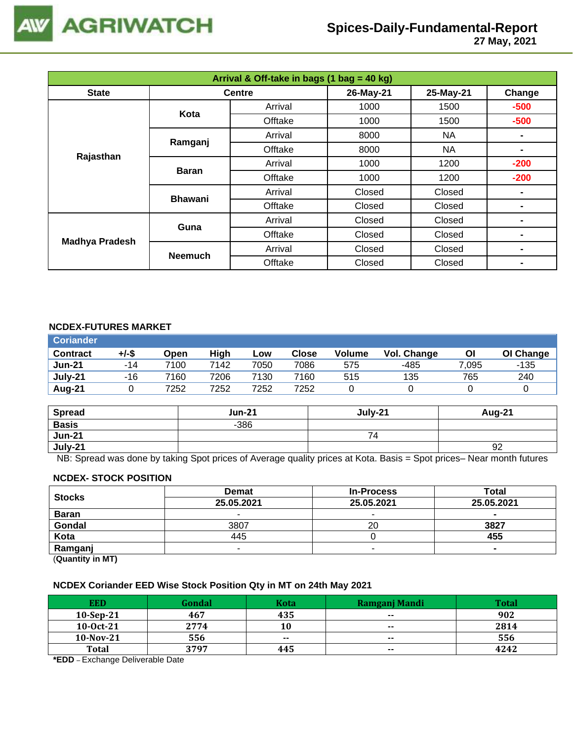

 **27 May, 2021**

| Arrival & Off-take in bags (1 bag = 40 kg) |                |               |           |           |        |  |  |
|--------------------------------------------|----------------|---------------|-----------|-----------|--------|--|--|
| <b>State</b>                               |                | <b>Centre</b> | 26-May-21 | 25-May-21 | Change |  |  |
|                                            | Kota           | Arrival       | 1000      | 1500      | $-500$ |  |  |
|                                            |                | Offtake       | 1000      | 1500      | $-500$ |  |  |
|                                            | Ramganj        | Arrival       | 8000      | NA.       |        |  |  |
|                                            |                | Offtake       | 8000      | NA        | ۰      |  |  |
| Rajasthan                                  | <b>Baran</b>   | Arrival       | 1000      |           | $-200$ |  |  |
|                                            |                | Offtake       | 1000      | 1200      | $-200$ |  |  |
|                                            | <b>Bhawani</b> | Arrival       | Closed    | Closed    |        |  |  |
|                                            |                | Offtake       | Closed    | Closed    |        |  |  |
|                                            | Guna           | Arrival       | Closed    | Closed    |        |  |  |
| <b>Madhya Pradesh</b>                      |                | Offtake       | Closed    | Closed    | -      |  |  |
|                                            |                | Arrival       | Closed    | Closed    | -      |  |  |
|                                            | <b>Neemuch</b> | Offtake       | Closed    | Closed    |        |  |  |

#### **NCDEX-FUTURES MARKET**

| <b>Coriander</b> |       |      |      |      |       |        |                    |       |           |
|------------------|-------|------|------|------|-------|--------|--------------------|-------|-----------|
| <b>Contract</b>  | +/-\$ | Open | High | Low  | Close | Volume | <b>Vol. Change</b> | Οl    | OI Change |
| <b>Jun-21</b>    | $-14$ | 7100 | 7142 | 7050 | 7086  | 575    | -485               | 7,095 | -135      |
| July-21          | -16   | 7160 | 7206 | 7130 | 7160  | 515    | 135                | 765   | 240       |
| Aug-21           |       | 7252 | 7252 | 7252 | 7252  |        |                    |       |           |

| <b>Spread</b> | <b>Jun-21</b> | July-21 | <b>Aug-21</b> |
|---------------|---------------|---------|---------------|
| <b>Basis</b>  | $-386$        |         |               |
| <b>Jun-21</b> |               | 74      |               |
| July-21       |               |         | 92            |

NB: Spread was done by taking Spot prices of Average quality prices at Kota. Basis = Spot prices– Near month futures

#### **NCDEX- STOCK POSITION**

| <b>Stocks</b>                                                   | <b>Demat</b> | <b>In-Process</b> | Total          |
|-----------------------------------------------------------------|--------------|-------------------|----------------|
|                                                                 | 25.05.2021   | 25.05.2021        | 25.05.2021     |
| <b>Baran</b>                                                    |              | -                 | -              |
| Gondal                                                          | 3807         | 20                | 3827           |
| Kota                                                            | 445          |                   | 455            |
| Ramganj                                                         |              |                   | $\blacksquare$ |
| $\mathbf{r}$ and $\mathbf{r}$ and $\mathbf{r}$ and $\mathbf{r}$ |              |                   |                |

(**Quantity in MT)**

# **NCDEX Coriander EED Wise Stock Position Qty in MT on 24th May 2021**

| <b>EED</b>   | Gondal | <b>Kota</b> | <b>Ramganj Mandi</b> | Total |
|--------------|--------|-------------|----------------------|-------|
| $10-Sep-21$  | 467    | 435         | $\sim$               | 902   |
| $10-0ct-21$  | 2774   | 10          | $- -$                | 2814  |
| $10-Nov-21$  | 556    | $- -$       | $- -$                | 556   |
| <b>Total</b> | 3797   | 445         | $\sim$               | 4242  |